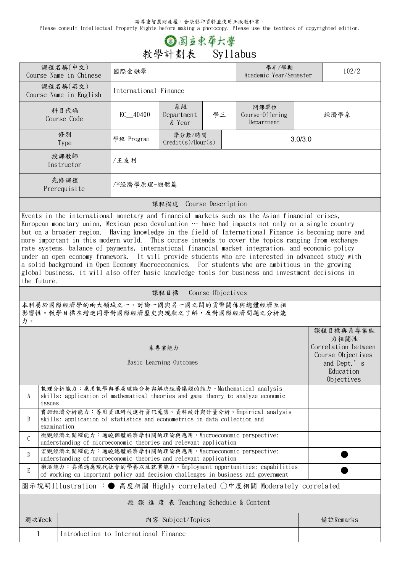請尊重智慧財產權,合法影印資料並使用正版教科書。

Please consult Intellectual Property Rights before making a photocopy. Please use the textbook of copyrighted edition.

## **③图立束草六學**<br>教學計劃表 Syllabus

|                                                                                                                                                                                                                                                                                                                                                                                                                                                                                                                                                                                                                                                                                                                                                                                                                                                                | 課程名稱(中文)<br>Course Name in Chinese                                                                                       | 國際金融學                 |                                       |         | 學年/學期<br>Academic Year/Semester                                                                                                                    | 102/2 |                                                                                    |  |  |  |  |
|----------------------------------------------------------------------------------------------------------------------------------------------------------------------------------------------------------------------------------------------------------------------------------------------------------------------------------------------------------------------------------------------------------------------------------------------------------------------------------------------------------------------------------------------------------------------------------------------------------------------------------------------------------------------------------------------------------------------------------------------------------------------------------------------------------------------------------------------------------------|--------------------------------------------------------------------------------------------------------------------------|-----------------------|---------------------------------------|---------|----------------------------------------------------------------------------------------------------------------------------------------------------|-------|------------------------------------------------------------------------------------|--|--|--|--|
|                                                                                                                                                                                                                                                                                                                                                                                                                                                                                                                                                                                                                                                                                                                                                                                                                                                                | 課程名稱(英文)<br>Course Name in English                                                                                       | International Finance |                                       |         |                                                                                                                                                    |       |                                                                                    |  |  |  |  |
|                                                                                                                                                                                                                                                                                                                                                                                                                                                                                                                                                                                                                                                                                                                                                                                                                                                                | 科目代碼<br>Course Code                                                                                                      | $EC$ 40400            | 系級<br>學三<br>Department<br>& Year      |         | 開課單位<br>Course-Offering<br>Department                                                                                                              |       | 經濟學系                                                                               |  |  |  |  |
|                                                                                                                                                                                                                                                                                                                                                                                                                                                                                                                                                                                                                                                                                                                                                                                                                                                                | 修別<br><b>Type</b>                                                                                                        | 學程 Program            | 學分數/時間<br>Credit(s)/Hour(s)           | 3.0/3.0 |                                                                                                                                                    |       |                                                                                    |  |  |  |  |
|                                                                                                                                                                                                                                                                                                                                                                                                                                                                                                                                                                                                                                                                                                                                                                                                                                                                | 授課教師<br>Instructor                                                                                                       | /王友利                  |                                       |         |                                                                                                                                                    |       |                                                                                    |  |  |  |  |
|                                                                                                                                                                                                                                                                                                                                                                                                                                                                                                                                                                                                                                                                                                                                                                                                                                                                | 先修課程<br>Prerequisite                                                                                                     | /*經濟學原理-總體篇           |                                       |         |                                                                                                                                                    |       |                                                                                    |  |  |  |  |
| 課程描述 Course Description                                                                                                                                                                                                                                                                                                                                                                                                                                                                                                                                                                                                                                                                                                                                                                                                                                        |                                                                                                                          |                       |                                       |         |                                                                                                                                                    |       |                                                                                    |  |  |  |  |
| Events in the international monetary and financial markets such as the Asian financial crises,<br>European monetary union, Mexican peso devaluation $\cdots$ have had impacts not only on a single country<br>but on a broader region. Having knowledge in the field of International Finance is becoming more and<br>more important in this modern world. This course intends to cover the topics ranging from exchange<br>rate systems, balance of payments, international financial market integration, and economic policy<br>under an open economy framework. It will provide students who are interested in advanced study with<br>a solid background in Open Economy Macroeconomics. For students who are ambitious in the growing<br>global business, it will also offer basic knowledge tools for business and investment decisions in<br>the future. |                                                                                                                          |                       |                                       |         |                                                                                                                                                    |       |                                                                                    |  |  |  |  |
| 課程目標<br>Course Objectives                                                                                                                                                                                                                                                                                                                                                                                                                                                                                                                                                                                                                                                                                                                                                                                                                                      |                                                                                                                          |                       |                                       |         |                                                                                                                                                    |       |                                                                                    |  |  |  |  |
| 本科屬於國際經濟學的兩大領域之一。討論一國與另一國之間的貨幣關係與總體經濟互相<br>影響性。教學目標在增進同學對國際經濟歷史與現狀之了解,及對國際經濟問題之分析能<br>力。                                                                                                                                                                                                                                                                                                                                                                                                                                                                                                                                                                                                                                                                                                                                                                       |                                                                                                                          |                       |                                       |         |                                                                                                                                                    |       |                                                                                    |  |  |  |  |
|                                                                                                                                                                                                                                                                                                                                                                                                                                                                                                                                                                                                                                                                                                                                                                                                                                                                |                                                                                                                          |                       |                                       |         |                                                                                                                                                    |       | 課程目標與系專業能<br>力相關性                                                                  |  |  |  |  |
| 系專業能力<br>Basic Learning Outcomes                                                                                                                                                                                                                                                                                                                                                                                                                                                                                                                                                                                                                                                                                                                                                                                                                               |                                                                                                                          |                       |                                       |         |                                                                                                                                                    |       | Correlation between<br>Course Objectives<br>and Dept.'s<br>Education<br>Objectives |  |  |  |  |
| 數理分析能力:應用數學與賽局理論分析與解決經濟議題的能力。Mathematical analysis<br>skills: application of mathematical theories and game theory to analyze economic<br>A<br>issues                                                                                                                                                                                                                                                                                                                                                                                                                                                                                                                                                                                                                                                                                                          |                                                                                                                          |                       |                                       |         |                                                                                                                                                    |       |                                                                                    |  |  |  |  |
| 實證經濟分析能力:善用資訊科技進行資訊蒐集、資料統計與計量分析。Empirical analysis<br>skills: application of statistics and econometrics in data collection and<br>B<br>examination                                                                                                                                                                                                                                                                                                                                                                                                                                                                                                                                                                                                                                                                                                            |                                                                                                                          |                       |                                       |         |                                                                                                                                                    |       |                                                                                    |  |  |  |  |
|                                                                                                                                                                                                                                                                                                                                                                                                                                                                                                                                                                                                                                                                                                                                                                                                                                                                |                                                                                                                          |                       |                                       |         |                                                                                                                                                    |       |                                                                                    |  |  |  |  |
| $\mathcal{C}$                                                                                                                                                                                                                                                                                                                                                                                                                                                                                                                                                                                                                                                                                                                                                                                                                                                  | 微觀經濟之闡釋能力:通曉個體經濟學相關的理論與應用。Microeconomic perspective:<br>understanding of microeconomic theories and relevant application |                       |                                       |         |                                                                                                                                                    |       |                                                                                    |  |  |  |  |
| D                                                                                                                                                                                                                                                                                                                                                                                                                                                                                                                                                                                                                                                                                                                                                                                                                                                              | 宏觀經濟之闡釋能力:通曉總體經濟學相關的理論與應用。Macroeconomic perspective:<br>understanding of macroeconomic theories and relevant application |                       |                                       |         |                                                                                                                                                    |       |                                                                                    |  |  |  |  |
| E                                                                                                                                                                                                                                                                                                                                                                                                                                                                                                                                                                                                                                                                                                                                                                                                                                                              |                                                                                                                          |                       |                                       |         | 樂活能力:具備適應現代社會的學養以及就業能力。Employment opportunities: capabilities<br>of working on important policy and decision challenges in business and government |       |                                                                                    |  |  |  |  |
|                                                                                                                                                                                                                                                                                                                                                                                                                                                                                                                                                                                                                                                                                                                                                                                                                                                                |                                                                                                                          |                       |                                       |         | 圖示說明Illustration :● 高度相關 Highly correlated ○中度相關 Moderately correlated                                                                             |       |                                                                                    |  |  |  |  |
|                                                                                                                                                                                                                                                                                                                                                                                                                                                                                                                                                                                                                                                                                                                                                                                                                                                                |                                                                                                                          |                       | 授 課 進 度 表 Teaching Schedule & Content |         |                                                                                                                                                    |       |                                                                                    |  |  |  |  |
| 週次Week                                                                                                                                                                                                                                                                                                                                                                                                                                                                                                                                                                                                                                                                                                                                                                                                                                                         |                                                                                                                          |                       | 内容 Subject/Topics                     |         |                                                                                                                                                    |       | 備註Remarks                                                                          |  |  |  |  |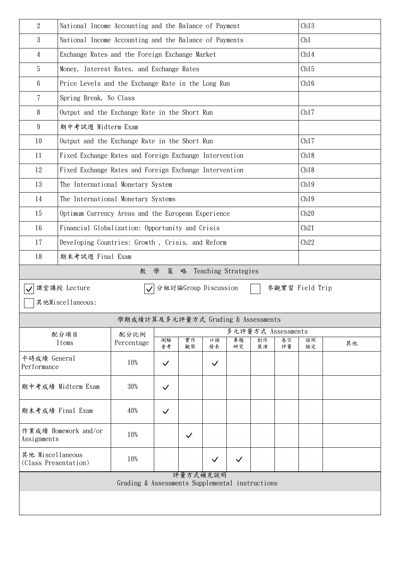| $\overline{2}$                           | Ch13<br>National Income Accounting and the Balance of Payment  |                                                 |              |                      |              |                     |          |                    |                 |      |  |  |  |
|------------------------------------------|----------------------------------------------------------------|-------------------------------------------------|--------------|----------------------|--------------|---------------------|----------|--------------------|-----------------|------|--|--|--|
| 3                                        | National Income Accounting and the Balance of Payments         | Ch1                                             |              |                      |              |                     |          |                    |                 |      |  |  |  |
| $\overline{4}$                           | Exchange Rates and the Foreign Exchange Market                 | Ch14                                            |              |                      |              |                     |          |                    |                 |      |  |  |  |
| 5                                        | Money, Interest Rates, and Exchange Rates                      | Ch15                                            |              |                      |              |                     |          |                    |                 |      |  |  |  |
| $6\phantom{.0}$                          | Price Levels and the Exchange Rate in the Long Run             | Ch16                                            |              |                      |              |                     |          |                    |                 |      |  |  |  |
| 7                                        | Spring Break, No Class                                         |                                                 |              |                      |              |                     |          |                    |                 |      |  |  |  |
| 8                                        | Ch17<br>Output and the Exchange Rate in the Short Run          |                                                 |              |                      |              |                     |          |                    |                 |      |  |  |  |
| 9                                        | 期中考試週 Midterm Exam                                             |                                                 |              |                      |              |                     |          |                    |                 |      |  |  |  |
| 10                                       | Output and the Exchange Rate in the Short Run                  | Ch17                                            |              |                      |              |                     |          |                    |                 |      |  |  |  |
| 11                                       | Ch18<br>Fixed Exchange Rates and Foreign Exchange Intervention |                                                 |              |                      |              |                     |          |                    |                 |      |  |  |  |
| 12                                       | Fixed Exchange Rates and Foreign Exchange Intervention<br>Ch18 |                                                 |              |                      |              |                     |          |                    |                 |      |  |  |  |
| 13                                       | The International Monetary System                              |                                                 |              |                      |              |                     |          |                    |                 | Ch19 |  |  |  |
| 14                                       | The International Monetary Systems                             |                                                 |              |                      |              |                     |          |                    |                 | Ch19 |  |  |  |
| 15                                       | Optimum Currency Areas and the European Experience             | Ch20                                            |              |                      |              |                     |          |                    |                 |      |  |  |  |
| 16                                       | Financial Globalization: Opportunity and Crisis                |                                                 |              |                      |              |                     |          |                    |                 | Ch21 |  |  |  |
| 17                                       | Developing Countries: Growth, Crisis, and Reform               |                                                 |              |                      |              |                     |          |                    |                 | Ch22 |  |  |  |
| 18                                       | 期末考試週 Final Exam                                               |                                                 |              |                      |              |                     |          |                    |                 |      |  |  |  |
|                                          |                                                                | 教學                                              | 策            | 略                    |              | Teaching Strategies |          |                    |                 |      |  |  |  |
|                                          | 課堂講授 Lecture                                                   | $\blacktriangledown$                            |              | 分組討論Group Discussion |              |                     |          |                    | 參觀實習 Field Trip |      |  |  |  |
|                                          | 其他Miscellaneous:                                               |                                                 |              |                      |              |                     |          |                    |                 |      |  |  |  |
|                                          |                                                                | 學期成績計算及多元評量方式 Grading & Assessments             |              |                      |              |                     |          |                    |                 |      |  |  |  |
| 配分項目                                     |                                                                | 配分比例                                            |              |                      |              |                     |          | 多元評量方式 Assessments |                 |      |  |  |  |
|                                          | Items                                                          | Percentage                                      | 測驗<br>會考     | 實作<br>觀察             | 口頭<br>發表     | 專題<br>研究            | 創作<br>展演 | 卷宗<br>評量           | 證照<br>檢定        | 其他   |  |  |  |
| 平時成績 General<br>Performance              |                                                                | 10%                                             | $\checkmark$ |                      | $\checkmark$ |                     |          |                    |                 |      |  |  |  |
| 期中考成績 Midterm Exam                       |                                                                | 30%                                             | $\checkmark$ |                      |              |                     |          |                    |                 |      |  |  |  |
| 期末考成績 Final Exam                         |                                                                | 40%                                             | $\checkmark$ |                      |              |                     |          |                    |                 |      |  |  |  |
| 作業成績 Homework and/or<br>Assignments      |                                                                | 10%                                             |              | $\checkmark$         |              |                     |          |                    |                 |      |  |  |  |
| 其他 Miscellaneous<br>(Class Presentation) |                                                                | 10%                                             |              |                      | $\checkmark$ | $\checkmark$        |          |                    |                 |      |  |  |  |
|                                          |                                                                | Grading & Assessments Supplemental instructions |              | 評量方式補充說明             |              |                     |          |                    |                 |      |  |  |  |
|                                          |                                                                |                                                 |              |                      |              |                     |          |                    |                 |      |  |  |  |
|                                          |                                                                |                                                 |              |                      |              |                     |          |                    |                 |      |  |  |  |